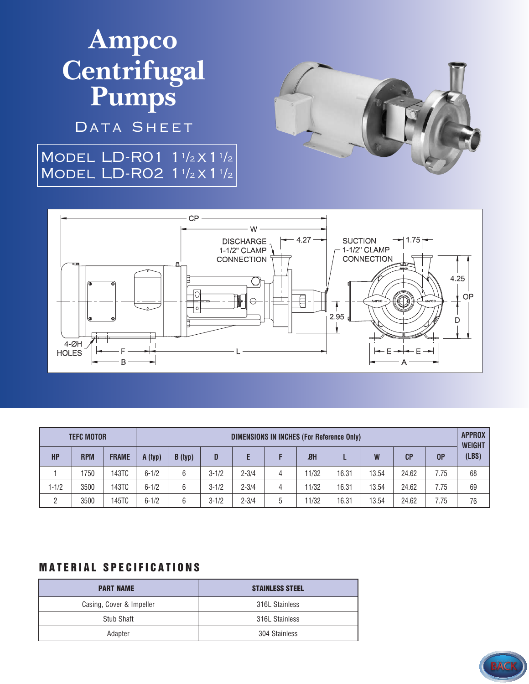# **Ampco Centrifugal Pumps**

DATA SHEET

### MODEL LD-R01 1<sup>1</sup>/2 X 1<sup>1</sup>/2 MODEL LD-RO2 1<sup>1</sup>/2 X 1<sup>1</sup>/2





| <b>TEFC MOTOR</b> |            |              | DIMENSIONS IN INCHES (For Reference Only) |         |           |           |   |       |       |       |       |      | <b>APPROX</b><br><b>WEIGHT</b> |
|-------------------|------------|--------------|-------------------------------------------|---------|-----------|-----------|---|-------|-------|-------|-------|------|--------------------------------|
| <b>HP</b>         | <b>RPM</b> | <b>FRAME</b> | A (typ)                                   | B (typ) | D         |           |   | $B$ H |       | W     | CP    | 0P   | (LBS)                          |
|                   | 1750       | 143TC        | $6 - 1/2$                                 | 6       | $3 - 1/2$ | $2 - 3/4$ | 4 | 1/32  | 16.31 | 13.54 | 24.62 | 7.75 | 68                             |
| $1 - 1/2$         | 3500       | 143TC        | $6 - 1/2$                                 | 6       | $3 - 1/2$ | $2 - 3/4$ | 4 | 1/32  | 16.31 | 13.54 | 24.62 | 7.75 | 69                             |
| 2                 | 3500       | 145TC        | $6 - 1/2$                                 | 6       | $3 - 1/2$ | $2 - 3/4$ | 5 | 1/32  | 16.31 | 13.54 | 24.62 | 7.75 | 76                             |

#### **MATERIAL SPECIFICATIONS**

| <b>PART NAME</b>         | <b>STAINLESS STEEL</b> |
|--------------------------|------------------------|
| Casing, Cover & Impeller | 316L Stainless         |
| Stub Shaft               | 316L Stainless         |
| Adapter                  | 304 Stainless          |